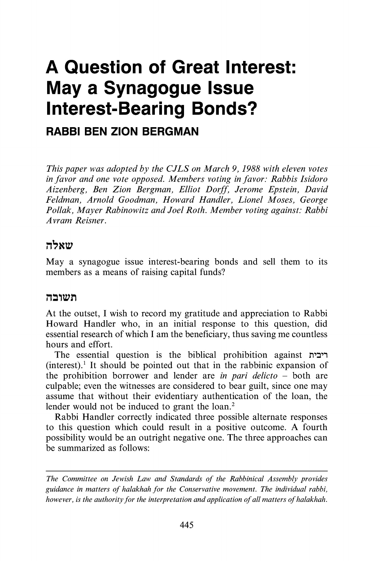# **A Question of Great Interest: May a Synagogue Issue Interest-Bearing Bonds?**

### **RABBI BEN ZION BERGMAN**

*This paper was adopted by the CJLS on March 9, 1988 with eleven votes in favor and one vote opposed. Members voting in favor: Rabbis Isidoro Aizenberg, Ben Zion Bergman, Elliot Dorff, Jerome Epstein, David Feldman, Arnold Goodman, Howard Handler, Lionel Moses, George Pollak, Mayer Rabinowitz and Joel Roth. Member voting against: Rabbi A vram Reisner.* 

#### שאלה

May a synagogue issue interest-bearing bonds and sell them to its members as a means of raising capital funds?

#### תשובה

At the outset, I wish to record my gratitude and appreciation to Rabbi Howard Handler who, in an initial response to this question, did essential research of which I am the beneficiary, thus saving me countless hours and effort.

The essential question is the biblical prohibition against  $(interest).$ <sup>1</sup> It should be pointed out that in the rabbinic expansion of the prohibition borrower and lender are *in pari delicto* - both are culpable; even the witnesses are considered to bear guilt, since one may assume that without their evidentiary authentication of the loan, the lender would not be induced to grant the loan.<sup>2</sup>

Rabbi Handler correctly indicated three possible alternate responses to this question which could result in a positive outcome. A fourth possibility would be an outright negative one. The three approaches can be summarized as follows:

*The Committee on Jewish Law and Standards of the Rabbinical Assembly provides guidance in matters of halakhah for the Conservative movement. The individual rabbi, however, is the authority for the interpretation and application of all matters of halakhah.*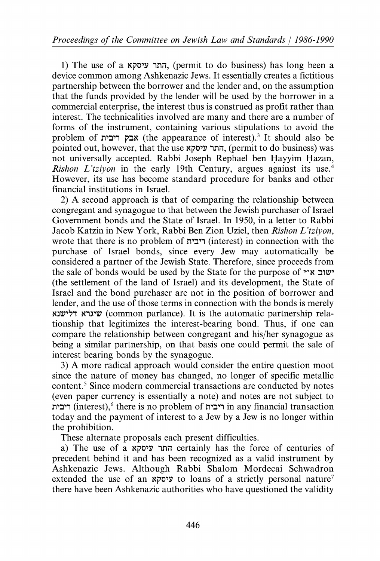1) The use of a יהתר עיסקא, (permit to do business) has long been a device common among Ashkenazic Jews. It essentially creates a fictitious partnership between the borrower and the lender and, on the assumption that the funds provided by the lender will be used by the borrower in a commercial enterprise, the interest thus is construed as profit rather than interest. The technicalities involved are many and there are a number of forms of the instrument, containing various stipulations to avoid the problem of **n'בלה** (the appearance of interest).<sup>3</sup> It should also be pointed out, however, that the use התר עיסקא, (permit to do business) was not universally accepted. Rabbi Joseph Rephael ben Hayyim Hazan, *Rishon L'tziyon* in the early 19th Century, argues against its use.<sup>4</sup> However, its use has become standard procedure for banks and other financial institutions in Israel.

2) A second approach is that of comparing the relationship between congregant and synagogue to that between the Jewish purchaser of Israel Government bonds and the State of Israel. In 1950, in a letter to Rabbi Jacob Katzin in New York, Rabbi Ben Zion Uziel, then *Rishon L'tziyon,*  wrote that there is no problem of ריבית) in connection with the purchase of Israel bonds, since every Jew may automatically be considered a partner of the Jewish State. Therefore, since proceeds from the sale of bonds would be used by the State for the purpose of "שוב א" (the settlement of the land of Israel) and its development, the State of Israel and the bond purchaser are not in the position of borrower and lender, and the use of those terms in connection with the bonds is merely שיגרא דלישנא (common parlance). It is the automatic partnership relationship that legitimizes the interest-bearing bond. Thus, if one can compare the relationship between congregant and his/her synagogue as being a similar partnership, on that basis one could permit the sale of interest bearing bonds by the synagogue.

3) A more radical approach would consider the entire question moot since the nature of money has changed, no longer of specific metallic content.<sup>5</sup> Since modern commercial transactions are conducted by notes (even paper currency is essentially a note) and notes are not subject to n':J', (interest),6 there is no problem of n':J', in any financial transaction today and the payment of interest to a Jew by a Jew is no longer within the prohibition.

These alternate proposals each present difficulties.

a) The use of a התר עיסקא certainly has the force of centuries of precedent behind it and has been recognized as a valid instrument by Ashkenazic Jews. Although Rabbi Shalom Mordecai Schwadron extended the use of an *v* $\sigma$ <sup>2</sup> to loans of a strictly personal nature<sup>7</sup> there have been Ashkenazic authorities who have questioned the validity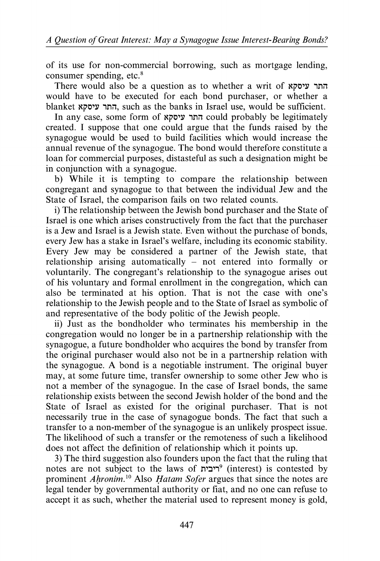of its use for non-commercial borrowing, such as mortgage lending, consumer spending, etc.<sup>8</sup>

There would also be a question as to whether a writ of  $x$ יסקא would have to be executed for each bond purchaser, or whether a blanket החר עיסקא, such as the banks in Israel use, would be sufficient.

In any case, some form of החר עיסקא could probably be legitimately created. I suppose that one could argue that the funds raised by the synagogue would be used to build facilities which would increase the annual revenue of the synagogue. The bond would therefore constitute a loan for commercial purposes, distasteful as such a designation might be in conjunction with a synagogue.

b) While it is tempting to compare the relationship between congregant and synagogue to that between the individual Jew and the State of Israel, the comparison fails on two related counts.

i) The relationship between the Jewish bond purchaser and the State of Israel is one which arises constructively from the fact that the purchaser is a Jew and Israel is a Jewish state. Even without the purchase of bonds, every Jew has a stake in Israel's welfare, including its economic stability. Every Jew may be considered a partner of the Jewish state, that relationship arising automatically – not entered into formally or voluntarily. The congregant's relationship to the synagogue arises out of his voluntary and formal enrollment in the congregation, which can also be terminated at his option. That is not the case with one's relationship to the Jewish people and to the State of Israel as symbolic of and representative of the body politic of the Jewish people.

ii) Just as the bondholder who terminates his membership in the congregation would no longer be in a partnership relationship with the synagogue, a future bondholder who acquires the bond by transfer from the original purchaser would also not be in a partnership relation with the synagogue. A bond is a negotiable instrument. The original buyer may, at some future time, transfer ownership to some other Jew who is not a member of the synagogue. In the case of Israel bonds, the same relationship exists between the second Jewish holder of the bond and the State of Israel as existed for the original purchaser. That is not necessarily true in the case of synagogue bonds. The fact that such a transfer to a non-member of the synagogue is an unlikely prospect issue. The likelihood of such a transfer or the remoteness of such a likelihood does not affect the definition of relationship which it points up.

3) The third suggestion also founders upon the fact that the ruling that notes are not subject to the laws of  $r^2$ יבית<sup>9</sup> (interest) is contested by prominent *Ahronim*.<sup>10</sup> Also *Hatam Sofer* argues that since the notes are legal tender by governmental authority or fiat, and no one can refuse to accept it as such, whether the material used to represent money is gold,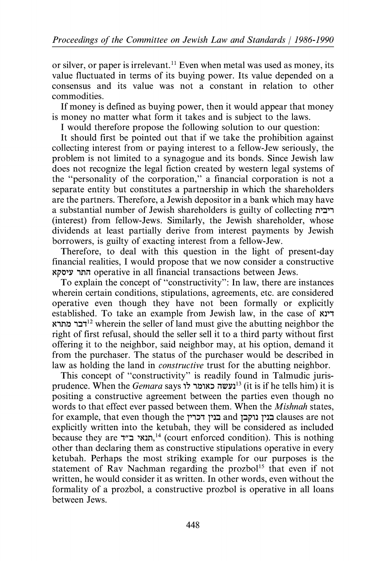or silver, or paper is irrelevant. 11 Even when metal was used as money, its value fluctuated in terms of its buying power. Its value depended on a consensus and its value was not a constant in relation to other commodities.

If money is defined as buying power, then it would appear that money is money no matter what form it takes and is subject to the laws.

I would therefore propose the following solution to our question:

It should first be pointed out that if we take the prohibition against collecting interest from or paying interest to a fellow-Jew seriously, the problem is not limited to a synagogue and its bonds. Since Jewish law does not recognize the legal fiction created by western legal systems of the "personality of the corporation," a financial corporation is not a separate entity but constitutes a partnership in which the shareholders are the partners. Therefore, a Jewish depositor in a bank which may have a substantial number of Jewish shareholders is guilty of collecting ריבית (interest) from fellow-Jews. Similarly, the Jewish shareholder, whose dividends at least partially derive from interest payments by Jewish borrowers, is guilty of exacting interest from a fellow-Jew.

Therefore, to deal with this question in the light of present-day financial realities, I would propose that we now consider a constructive Nj:'C'Y ,nil operative in all financial transactions between Jews.

To explain the concept of "constructivity": In law, there are instances wherein certain conditions, stipulations, agreements, etc. are considered operative even though they have not been formally or explicitly established. To take an example from Jewish law, in the case of  $\overline{r}$ דבר מתרא $^{12}$  wherein the seller of land must give the abutting neighbor the right of first refusal, should the seller sell it to a third party without first offering it to the neighbor, said neighbor may, at his option, demand it from the purchaser. The status of the purchaser would be described in law as holding the land in *constructive* trust for the abutting neighbor.

This concept of "constructivity" is readily found in Talmudic jurisprudence. When the *Gemara* says 17 ,~1N:J i1WYl13 (it is if he tells him) it is positing a constructive agreement between the parties even though no words to that effect ever passed between them. When the *Mishnah* states, for example, that even though the כניז נוקבן and בניז נוקבן clauses are not explicitly written into the ketubah, they will be considered as included because they are תנאי ב״ד,<sup>14</sup> (court enforced condition). This is nothing other than declaring them as constructive stipulations operative in every ketubah. Perhaps the most striking example for our purposes is the statement of Rav Nachman regarding the prozbol<sup>15</sup> that even if not written, he would consider it as written. In other words, even without the formality of a prozbol, a constructive prozbol is operative in all loans between Jews.